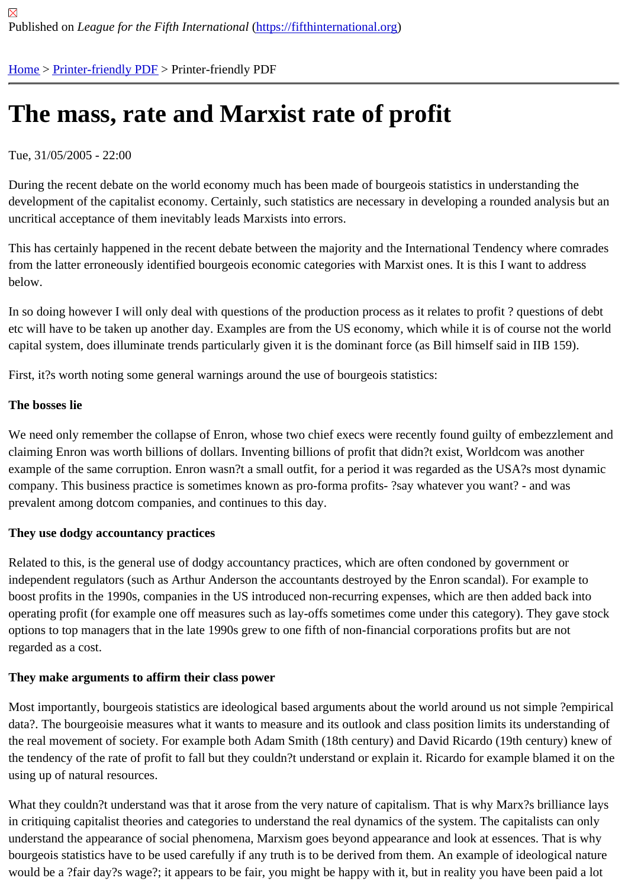# [The](https://fifthinternational.org/) [mass, rat](https://fifthinternational.org/printpdf)e and Marxist rate of profit

# Tue, 31/05/2005 - 22:00

During the recent debate on the world economy much has been made of bourgeois statistics in understanding the development of the capitalist economy. Certainly, such statistics are necessary in developing a rounded analysis b uncritical acceptance of them inevitably leads Marxists into errors.

This has certainly happened in the recent debate between the majority and the International Tendency where com from the latter erroneously identified bourgeois economic categories with Marxist ones. It is this I want to address below.

In so doing however I will only deal with questions of the production process as it relates to profit? questions of de etc will have to be taken up another day. Examples are from the US economy, which while it is of course not the w capital system, does illuminate trends particularly given it is the dominant force (as Bill himself said in IIB 159).

First, it?s worth noting some general warnings around the use of bourgeois statistics:

# The bosses lie

We need only remember the collapse of Enron, whose two chief execs were recently found guilty of embezzlemen claiming Enron was worth billions of dollars. Inventing billions of profit that didn?t exist, Worldcom was another example of the same corruption. Enron wasn?t a small outfit, for a period it was regarded as the USA?s most dyna company. This business practice is sometimes known as pro-forma profits- ?say whatever you want? - and was prevalent among dotcom companies, and continues to this day.

# They use dodgy accountancy practices

Related to this, is the general use of dodgy accountancy practices, which are often condoned by government or independent regulators (such as Arthur Anderson the accountants destroyed by the Enron scandal). For example boost profits in the 1990s, companies in the US introduced non-recurring expenses, which are then added back in operating profit (for example one off measures such as lay-offs sometimes come under this category). They gave options to top managers that in the late 1990s grew to one fifth of non-financial corporations profits but are not regarded as a cost.

# They make arguments to affirm their class power

Most importantly, bourgeois statistics are ideological based arguments about the world around us not simple ?emp data?. The bourgeoisie measures what it wants to measure and its outlook and class position limits its understand the real movement of society. For example both Adam Smith (18th century) and David Ricardo (19th century) knew the tendency of the rate of profit to fall but they couldn?t understand or explain it. Ricardo for example blamed it or using up of natural resources.

What they couldn?t understand was that it arose from the very nature of capitalism. That is why Marx?s brilliance l in critiquing capitalist theories and categories to understand the real dynamics of the system. The capitalists can o understand the appearance of social phenomena, Marxism goes beyond appearance and look at essences. That i bourgeois statistics have to be used carefully if any truth is to be derived from them. An example of ideological nat would be a ?fair day?s wage?; it appears to be fair, you might be happy with it, but in reality you have been paid a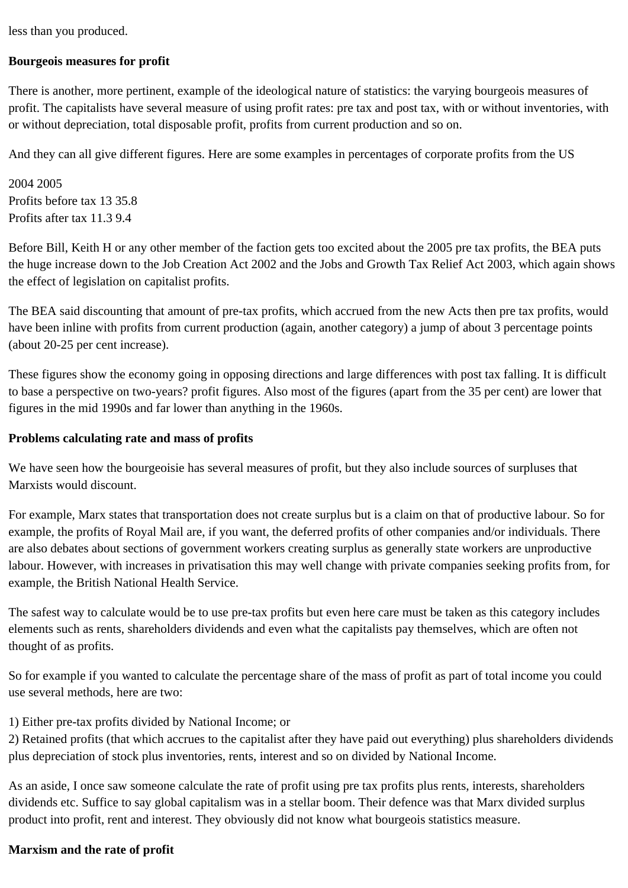less than you produced.

# **Bourgeois measures for profit**

There is another, more pertinent, example of the ideological nature of statistics: the varying bourgeois measures of profit. The capitalists have several measure of using profit rates: pre tax and post tax, with or without inventories, with or without depreciation, total disposable profit, profits from current production and so on.

And they can all give different figures. Here are some examples in percentages of corporate profits from the US

2004 2005 Profits before tax 13 35.8 Profits after tax 11.3 9.4

Before Bill, Keith H or any other member of the faction gets too excited about the 2005 pre tax profits, the BEA puts the huge increase down to the Job Creation Act 2002 and the Jobs and Growth Tax Relief Act 2003, which again shows the effect of legislation on capitalist profits.

The BEA said discounting that amount of pre-tax profits, which accrued from the new Acts then pre tax profits, would have been inline with profits from current production (again, another category) a jump of about 3 percentage points (about 20-25 per cent increase).

These figures show the economy going in opposing directions and large differences with post tax falling. It is difficult to base a perspective on two-years? profit figures. Also most of the figures (apart from the 35 per cent) are lower that figures in the mid 1990s and far lower than anything in the 1960s.

#### **Problems calculating rate and mass of profits**

We have seen how the bourgeoisie has several measures of profit, but they also include sources of surpluses that Marxists would discount.

For example, Marx states that transportation does not create surplus but is a claim on that of productive labour. So for example, the profits of Royal Mail are, if you want, the deferred profits of other companies and/or individuals. There are also debates about sections of government workers creating surplus as generally state workers are unproductive labour. However, with increases in privatisation this may well change with private companies seeking profits from, for example, the British National Health Service.

The safest way to calculate would be to use pre-tax profits but even here care must be taken as this category includes elements such as rents, shareholders dividends and even what the capitalists pay themselves, which are often not thought of as profits.

So for example if you wanted to calculate the percentage share of the mass of profit as part of total income you could use several methods, here are two:

1) Either pre-tax profits divided by National Income; or

2) Retained profits (that which accrues to the capitalist after they have paid out everything) plus shareholders dividends plus depreciation of stock plus inventories, rents, interest and so on divided by National Income.

As an aside, I once saw someone calculate the rate of profit using pre tax profits plus rents, interests, shareholders dividends etc. Suffice to say global capitalism was in a stellar boom. Their defence was that Marx divided surplus product into profit, rent and interest. They obviously did not know what bourgeois statistics measure.

#### **Marxism and the rate of profit**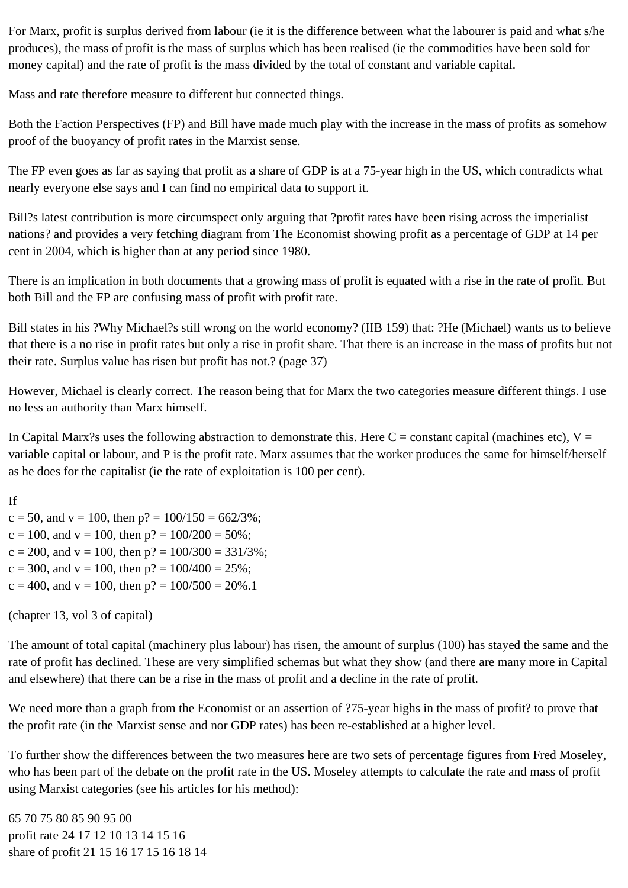For Marx, profit is surplus derived from labour (ie it is the difference between what the labourer is paid and what s/he produces), the mass of profit is the mass of surplus which has been realised (ie the commodities have been sold for money capital) and the rate of profit is the mass divided by the total of constant and variable capital.

Mass and rate therefore measure to different but connected things.

Both the Faction Perspectives (FP) and Bill have made much play with the increase in the mass of profits as somehow proof of the buoyancy of profit rates in the Marxist sense.

The FP even goes as far as saying that profit as a share of GDP is at a 75-year high in the US, which contradicts what nearly everyone else says and I can find no empirical data to support it.

Bill?s latest contribution is more circumspect only arguing that ?profit rates have been rising across the imperialist nations? and provides a very fetching diagram from The Economist showing profit as a percentage of GDP at 14 per cent in 2004, which is higher than at any period since 1980.

There is an implication in both documents that a growing mass of profit is equated with a rise in the rate of profit. But both Bill and the FP are confusing mass of profit with profit rate.

Bill states in his ?Why Michael?s still wrong on the world economy? (IIB 159) that: ?He (Michael) wants us to believe that there is a no rise in profit rates but only a rise in profit share. That there is an increase in the mass of profits but not their rate. Surplus value has risen but profit has not.? (page 37)

However, Michael is clearly correct. The reason being that for Marx the two categories measure different things. I use no less an authority than Marx himself.

In Capital Marx?s uses the following abstraction to demonstrate this. Here  $C = constant$  capital (machines etc),  $V =$ variable capital or labour, and P is the profit rate. Marx assumes that the worker produces the same for himself/herself as he does for the capitalist (ie the rate of exploitation is 100 per cent).

If  $c = 50$ , and  $v = 100$ , then  $p$ ? = 100/150 = 662/3%;  $c = 100$ , and  $v = 100$ , then  $p$ ? = 100/200 = 50%;  $c = 200$ , and  $v = 100$ , then  $p$ ? = 100/300 = 331/3%;  $c = 300$ , and  $v = 100$ , then  $p$ ? = 100/400 = 25%;  $c = 400$ , and  $v = 100$ , then  $p$ ? = 100/500 = 20%.1

(chapter 13, vol 3 of capital)

The amount of total capital (machinery plus labour) has risen, the amount of surplus (100) has stayed the same and the rate of profit has declined. These are very simplified schemas but what they show (and there are many more in Capital and elsewhere) that there can be a rise in the mass of profit and a decline in the rate of profit.

We need more than a graph from the Economist or an assertion of ?75-year highs in the mass of profit? to prove that the profit rate (in the Marxist sense and nor GDP rates) has been re-established at a higher level.

To further show the differences between the two measures here are two sets of percentage figures from Fred Moseley, who has been part of the debate on the profit rate in the US. Moseley attempts to calculate the rate and mass of profit using Marxist categories (see his articles for his method):

65 70 75 80 85 90 95 00 profit rate 24 17 12 10 13 14 15 16 share of profit 21 15 16 17 15 16 18 14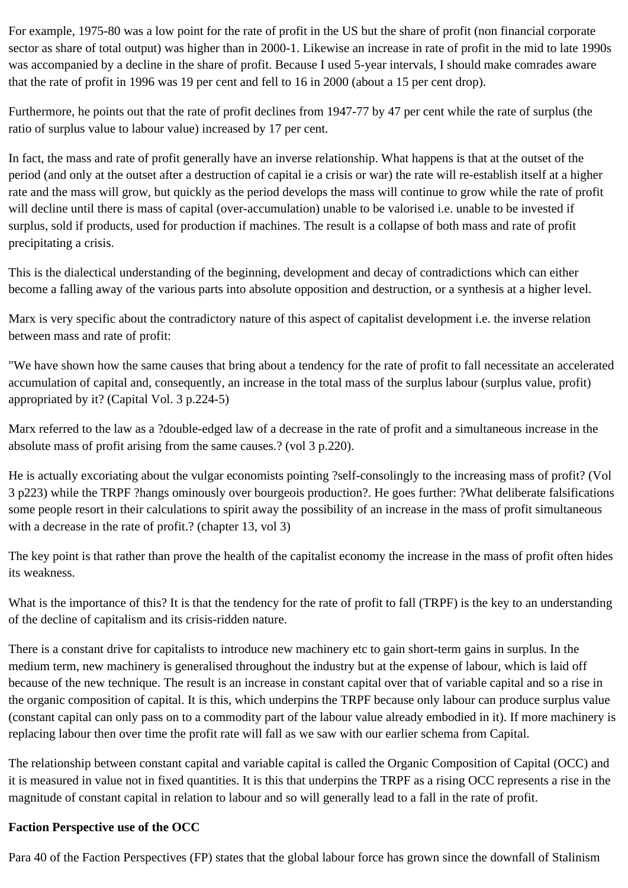For example, 1975-80 was a low point for the rate of profit in the US but the share of profit (non financial corporate sector as share of total output) was higher than in 2000-1. Likewise an increase in rate of profit in the mid to late 1990s was accompanied by a decline in the share of profit. Because I used 5-year intervals, I should make comrades aware that the rate of profit in 1996 was 19 per cent and fell to 16 in 2000 (about a 15 per cent drop).

Furthermore, he points out that the rate of profit declines from 1947-77 by 47 per cent while the rate of surplus (the ratio of surplus value to labour value) increased by 17 per cent.

In fact, the mass and rate of profit generally have an inverse relationship. What happens is that at the outset of the period (and only at the outset after a destruction of capital ie a crisis or war) the rate will re-establish itself at a higher rate and the mass will grow, but quickly as the period develops the mass will continue to grow while the rate of profit will decline until there is mass of capital (over-accumulation) unable to be valorised i.e. unable to be invested if surplus, sold if products, used for production if machines. The result is a collapse of both mass and rate of profit precipitating a crisis.

This is the dialectical understanding of the beginning, development and decay of contradictions which can either become a falling away of the various parts into absolute opposition and destruction, or a synthesis at a higher level.

Marx is very specific about the contradictory nature of this aspect of capitalist development i.e. the inverse relation between mass and rate of profit:

"We have shown how the same causes that bring about a tendency for the rate of profit to fall necessitate an accelerated accumulation of capital and, consequently, an increase in the total mass of the surplus labour (surplus value, profit) appropriated by it? (Capital Vol. 3 p.224-5)

Marx referred to the law as a ?double-edged law of a decrease in the rate of profit and a simultaneous increase in the absolute mass of profit arising from the same causes.? (vol 3 p.220).

He is actually excoriating about the vulgar economists pointing ?self-consolingly to the increasing mass of profit? (Vol 3 p223) while the TRPF ?hangs ominously over bourgeois production?. He goes further: ?What deliberate falsifications some people resort in their calculations to spirit away the possibility of an increase in the mass of profit simultaneous with a decrease in the rate of profit.? (chapter 13, vol 3)

The key point is that rather than prove the health of the capitalist economy the increase in the mass of profit often hides its weakness.

What is the importance of this? It is that the tendency for the rate of profit to fall (TRPF) is the key to an understanding of the decline of capitalism and its crisis-ridden nature.

There is a constant drive for capitalists to introduce new machinery etc to gain short-term gains in surplus. In the medium term, new machinery is generalised throughout the industry but at the expense of labour, which is laid off because of the new technique. The result is an increase in constant capital over that of variable capital and so a rise in the organic composition of capital. It is this, which underpins the TRPF because only labour can produce surplus value (constant capital can only pass on to a commodity part of the labour value already embodied in it). If more machinery is replacing labour then over time the profit rate will fall as we saw with our earlier schema from Capital.

The relationship between constant capital and variable capital is called the Organic Composition of Capital (OCC) and it is measured in value not in fixed quantities. It is this that underpins the TRPF as a rising OCC represents a rise in the magnitude of constant capital in relation to labour and so will generally lead to a fall in the rate of profit.

# **Faction Perspective use of the OCC**

Para 40 of the Faction Perspectives (FP) states that the global labour force has grown since the downfall of Stalinism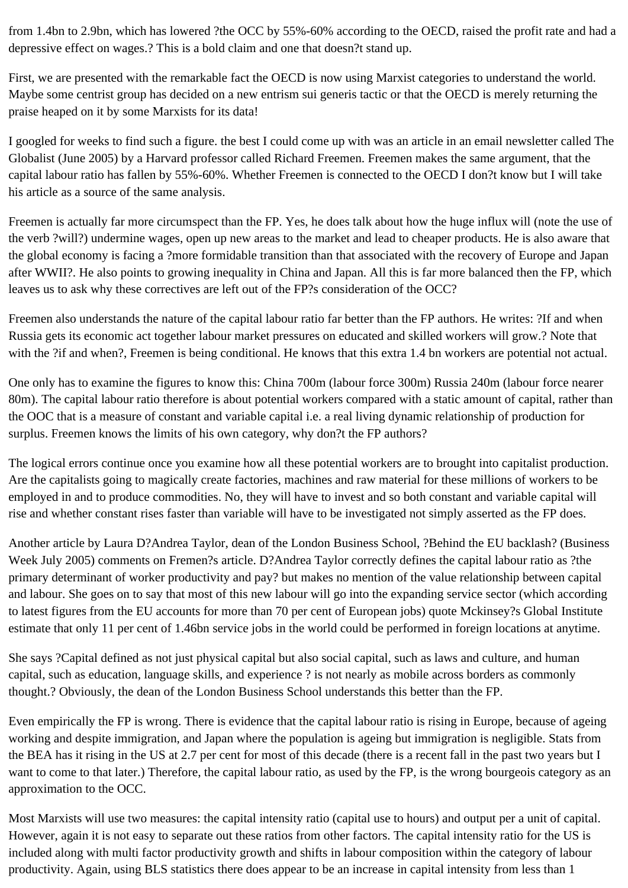from 1.4bn to 2.9bn, which has lowered ?the OCC by 55%-60% according to the OECD, raised the profit rate and had a depressive effect on wages.? This is a bold claim and one that doesn?t stand up.

First, we are presented with the remarkable fact the OECD is now using Marxist categories to understand the world. Maybe some centrist group has decided on a new entrism sui generis tactic or that the OECD is merely returning the praise heaped on it by some Marxists for its data!

I googled for weeks to find such a figure. the best I could come up with was an article in an email newsletter called The Globalist (June 2005) by a Harvard professor called Richard Freemen. Freemen makes the same argument, that the capital labour ratio has fallen by 55%-60%. Whether Freemen is connected to the OECD I don?t know but I will take his article as a source of the same analysis.

Freemen is actually far more circumspect than the FP. Yes, he does talk about how the huge influx will (note the use of the verb ?will?) undermine wages, open up new areas to the market and lead to cheaper products. He is also aware that the global economy is facing a ?more formidable transition than that associated with the recovery of Europe and Japan after WWII?. He also points to growing inequality in China and Japan. All this is far more balanced then the FP, which leaves us to ask why these correctives are left out of the FP?s consideration of the OCC?

Freemen also understands the nature of the capital labour ratio far better than the FP authors. He writes: ?If and when Russia gets its economic act together labour market pressures on educated and skilled workers will grow.? Note that with the ?if and when?, Freemen is being conditional. He knows that this extra 1.4 bn workers are potential not actual.

One only has to examine the figures to know this: China 700m (labour force 300m) Russia 240m (labour force nearer 80m). The capital labour ratio therefore is about potential workers compared with a static amount of capital, rather than the OOC that is a measure of constant and variable capital i.e. a real living dynamic relationship of production for surplus. Freemen knows the limits of his own category, why don?t the FP authors?

The logical errors continue once you examine how all these potential workers are to brought into capitalist production. Are the capitalists going to magically create factories, machines and raw material for these millions of workers to be employed in and to produce commodities. No, they will have to invest and so both constant and variable capital will rise and whether constant rises faster than variable will have to be investigated not simply asserted as the FP does.

Another article by Laura D?Andrea Taylor, dean of the London Business School, ?Behind the EU backlash? (Business Week July 2005) comments on Fremen?s article. D?Andrea Taylor correctly defines the capital labour ratio as ?the primary determinant of worker productivity and pay? but makes no mention of the value relationship between capital and labour. She goes on to say that most of this new labour will go into the expanding service sector (which according to latest figures from the EU accounts for more than 70 per cent of European jobs) quote Mckinsey?s Global Institute estimate that only 11 per cent of 1.46bn service jobs in the world could be performed in foreign locations at anytime.

She says ?Capital defined as not just physical capital but also social capital, such as laws and culture, and human capital, such as education, language skills, and experience ? is not nearly as mobile across borders as commonly thought.? Obviously, the dean of the London Business School understands this better than the FP.

Even empirically the FP is wrong. There is evidence that the capital labour ratio is rising in Europe, because of ageing working and despite immigration, and Japan where the population is ageing but immigration is negligible. Stats from the BEA has it rising in the US at 2.7 per cent for most of this decade (there is a recent fall in the past two years but I want to come to that later.) Therefore, the capital labour ratio, as used by the FP, is the wrong bourgeois category as an approximation to the OCC.

Most Marxists will use two measures: the capital intensity ratio (capital use to hours) and output per a unit of capital. However, again it is not easy to separate out these ratios from other factors. The capital intensity ratio for the US is included along with multi factor productivity growth and shifts in labour composition within the category of labour productivity. Again, using BLS statistics there does appear to be an increase in capital intensity from less than 1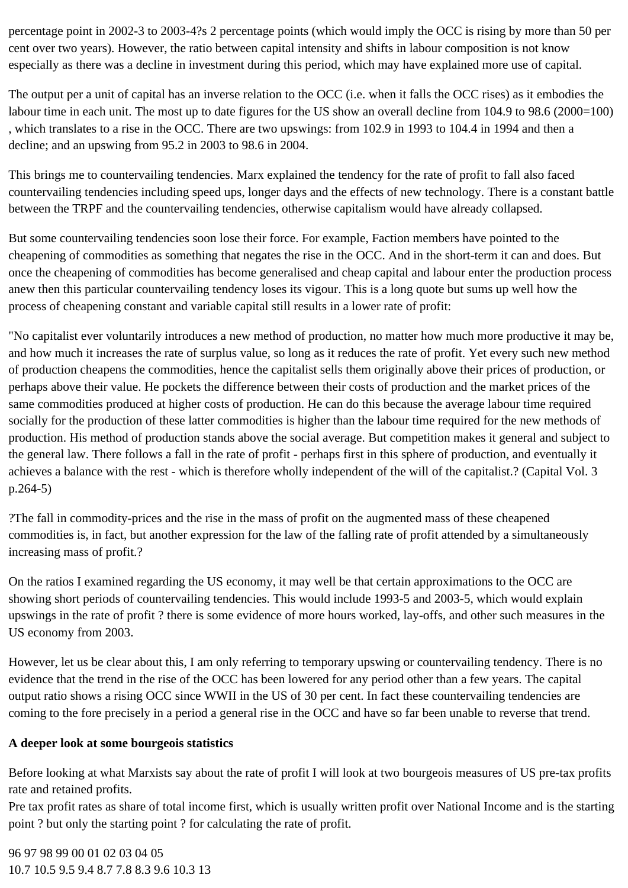percentage point in 2002-3 to 2003-4?s 2 percentage points (which would imply the OCC is rising by more than 50 per cent over two years). However, the ratio between capital intensity and shifts in labour composition is not know especially as there was a decline in investment during this period, which may have explained more use of capital.

The output per a unit of capital has an inverse relation to the OCC (i.e. when it falls the OCC rises) as it embodies the labour time in each unit. The most up to date figures for the US show an overall decline from 104.9 to 98.6 (2000=100) , which translates to a rise in the OCC. There are two upswings: from 102.9 in 1993 to 104.4 in 1994 and then a decline; and an upswing from 95.2 in 2003 to 98.6 in 2004.

This brings me to countervailing tendencies. Marx explained the tendency for the rate of profit to fall also faced countervailing tendencies including speed ups, longer days and the effects of new technology. There is a constant battle between the TRPF and the countervailing tendencies, otherwise capitalism would have already collapsed.

But some countervailing tendencies soon lose their force. For example, Faction members have pointed to the cheapening of commodities as something that negates the rise in the OCC. And in the short-term it can and does. But once the cheapening of commodities has become generalised and cheap capital and labour enter the production process anew then this particular countervailing tendency loses its vigour. This is a long quote but sums up well how the process of cheapening constant and variable capital still results in a lower rate of profit:

"No capitalist ever voluntarily introduces a new method of production, no matter how much more productive it may be, and how much it increases the rate of surplus value, so long as it reduces the rate of profit. Yet every such new method of production cheapens the commodities, hence the capitalist sells them originally above their prices of production, or perhaps above their value. He pockets the difference between their costs of production and the market prices of the same commodities produced at higher costs of production. He can do this because the average labour time required socially for the production of these latter commodities is higher than the labour time required for the new methods of production. His method of production stands above the social average. But competition makes it general and subject to the general law. There follows a fall in the rate of profit - perhaps first in this sphere of production, and eventually it achieves a balance with the rest - which is therefore wholly independent of the will of the capitalist.? (Capital Vol. 3 p.264-5)

?The fall in commodity-prices and the rise in the mass of profit on the augmented mass of these cheapened commodities is, in fact, but another expression for the law of the falling rate of profit attended by a simultaneously increasing mass of profit.?

On the ratios I examined regarding the US economy, it may well be that certain approximations to the OCC are showing short periods of countervailing tendencies. This would include 1993-5 and 2003-5, which would explain upswings in the rate of profit ? there is some evidence of more hours worked, lay-offs, and other such measures in the US economy from 2003.

However, let us be clear about this, I am only referring to temporary upswing or countervailing tendency. There is no evidence that the trend in the rise of the OCC has been lowered for any period other than a few years. The capital output ratio shows a rising OCC since WWII in the US of 30 per cent. In fact these countervailing tendencies are coming to the fore precisely in a period a general rise in the OCC and have so far been unable to reverse that trend.

# **A deeper look at some bourgeois statistics**

Before looking at what Marxists say about the rate of profit I will look at two bourgeois measures of US pre-tax profits rate and retained profits.

Pre tax profit rates as share of total income first, which is usually written profit over National Income and is the starting point ? but only the starting point ? for calculating the rate of profit.

96 97 98 99 00 01 02 03 04 05 10.7 10.5 9.5 9.4 8.7 7.8 8.3 9.6 10.3 13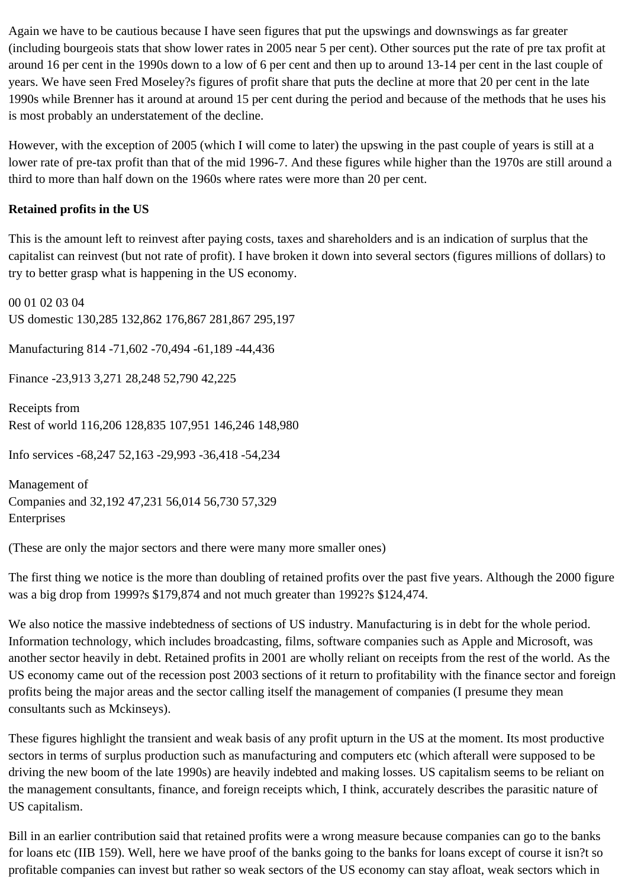Again we have to be cautious because I have seen figures that put the upswings and downswings as far greater (including bourgeois stats that show lower rates in 2005 near 5 per cent). Other sources put the rate of pre tax profit at around 16 per cent in the 1990s down to a low of 6 per cent and then up to around 13-14 per cent in the last couple of years. We have seen Fred Moseley?s figures of profit share that puts the decline at more that 20 per cent in the late 1990s while Brenner has it around at around 15 per cent during the period and because of the methods that he uses his is most probably an understatement of the decline.

However, with the exception of 2005 (which I will come to later) the upswing in the past couple of years is still at a lower rate of pre-tax profit than that of the mid 1996-7. And these figures while higher than the 1970s are still around a third to more than half down on the 1960s where rates were more than 20 per cent.

# **Retained profits in the US**

This is the amount left to reinvest after paying costs, taxes and shareholders and is an indication of surplus that the capitalist can reinvest (but not rate of profit). I have broken it down into several sectors (figures millions of dollars) to try to better grasp what is happening in the US economy.

00 01 02 03 04 US domestic 130,285 132,862 176,867 281,867 295,197 Manufacturing 814 -71,602 -70,494 -61,189 -44,436 Finance -23,913 3,271 28,248 52,790 42,225 Receipts from Rest of world 116,206 128,835 107,951 146,246 148,980 Info services -68,247 52,163 -29,993 -36,418 -54,234

Management of Companies and 32,192 47,231 56,014 56,730 57,329 Enterprises

(These are only the major sectors and there were many more smaller ones)

The first thing we notice is the more than doubling of retained profits over the past five years. Although the 2000 figure was a big drop from 1999?s \$179,874 and not much greater than 1992?s \$124,474.

We also notice the massive indebtedness of sections of US industry. Manufacturing is in debt for the whole period. Information technology, which includes broadcasting, films, software companies such as Apple and Microsoft, was another sector heavily in debt. Retained profits in 2001 are wholly reliant on receipts from the rest of the world. As the US economy came out of the recession post 2003 sections of it return to profitability with the finance sector and foreign profits being the major areas and the sector calling itself the management of companies (I presume they mean consultants such as Mckinseys).

These figures highlight the transient and weak basis of any profit upturn in the US at the moment. Its most productive sectors in terms of surplus production such as manufacturing and computers etc (which afterall were supposed to be driving the new boom of the late 1990s) are heavily indebted and making losses. US capitalism seems to be reliant on the management consultants, finance, and foreign receipts which, I think, accurately describes the parasitic nature of US capitalism.

Bill in an earlier contribution said that retained profits were a wrong measure because companies can go to the banks for loans etc (IIB 159). Well, here we have proof of the banks going to the banks for loans except of course it isn?t so profitable companies can invest but rather so weak sectors of the US economy can stay afloat, weak sectors which in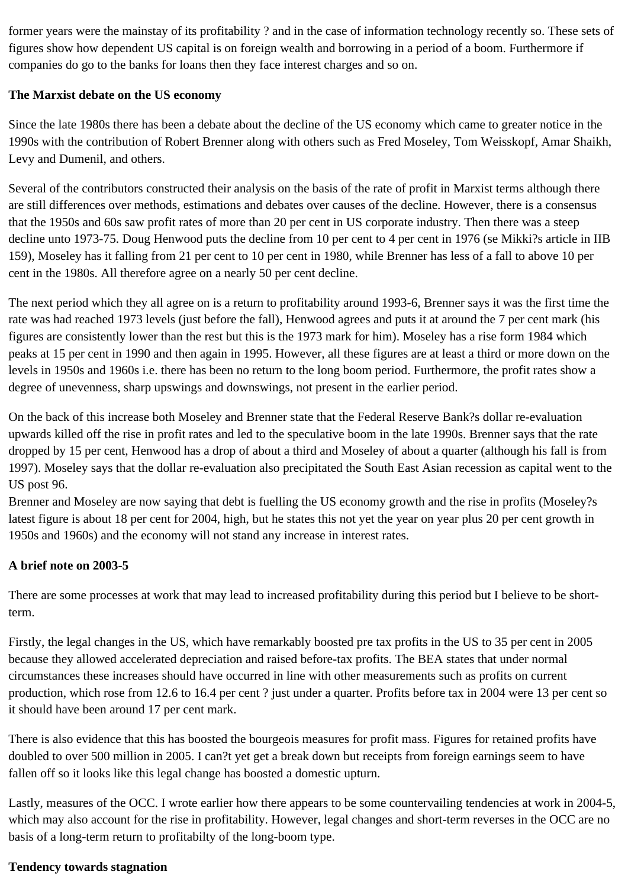former years were the mainstay of its profitability ? and in the case of information technology recently so. These sets of figures show how dependent US capital is on foreign wealth and borrowing in a period of a boom. Furthermore if companies do go to the banks for loans then they face interest charges and so on.

# **The Marxist debate on the US economy**

Since the late 1980s there has been a debate about the decline of the US economy which came to greater notice in the 1990s with the contribution of Robert Brenner along with others such as Fred Moseley, Tom Weisskopf, Amar Shaikh, Levy and Dumenil, and others.

Several of the contributors constructed their analysis on the basis of the rate of profit in Marxist terms although there are still differences over methods, estimations and debates over causes of the decline. However, there is a consensus that the 1950s and 60s saw profit rates of more than 20 per cent in US corporate industry. Then there was a steep decline unto 1973-75. Doug Henwood puts the decline from 10 per cent to 4 per cent in 1976 (se Mikki?s article in IIB 159), Moseley has it falling from 21 per cent to 10 per cent in 1980, while Brenner has less of a fall to above 10 per cent in the 1980s. All therefore agree on a nearly 50 per cent decline.

The next period which they all agree on is a return to profitability around 1993-6, Brenner says it was the first time the rate was had reached 1973 levels (just before the fall), Henwood agrees and puts it at around the 7 per cent mark (his figures are consistently lower than the rest but this is the 1973 mark for him). Moseley has a rise form 1984 which peaks at 15 per cent in 1990 and then again in 1995. However, all these figures are at least a third or more down on the levels in 1950s and 1960s i.e. there has been no return to the long boom period. Furthermore, the profit rates show a degree of unevenness, sharp upswings and downswings, not present in the earlier period.

On the back of this increase both Moseley and Brenner state that the Federal Reserve Bank?s dollar re-evaluation upwards killed off the rise in profit rates and led to the speculative boom in the late 1990s. Brenner says that the rate dropped by 15 per cent, Henwood has a drop of about a third and Moseley of about a quarter (although his fall is from 1997). Moseley says that the dollar re-evaluation also precipitated the South East Asian recession as capital went to the US post 96.

Brenner and Moseley are now saying that debt is fuelling the US economy growth and the rise in profits (Moseley?s latest figure is about 18 per cent for 2004, high, but he states this not yet the year on year plus 20 per cent growth in 1950s and 1960s) and the economy will not stand any increase in interest rates.

# **A brief note on 2003-5**

There are some processes at work that may lead to increased profitability during this period but I believe to be shortterm.

Firstly, the legal changes in the US, which have remarkably boosted pre tax profits in the US to 35 per cent in 2005 because they allowed accelerated depreciation and raised before-tax profits. The BEA states that under normal circumstances these increases should have occurred in line with other measurements such as profits on current production, which rose from 12.6 to 16.4 per cent ? just under a quarter. Profits before tax in 2004 were 13 per cent so it should have been around 17 per cent mark.

There is also evidence that this has boosted the bourgeois measures for profit mass. Figures for retained profits have doubled to over 500 million in 2005. I can?t yet get a break down but receipts from foreign earnings seem to have fallen off so it looks like this legal change has boosted a domestic upturn.

Lastly, measures of the OCC. I wrote earlier how there appears to be some countervailing tendencies at work in 2004-5, which may also account for the rise in profitability. However, legal changes and short-term reverses in the OCC are no basis of a long-term return to profitabilty of the long-boom type.

# **Tendency towards stagnation**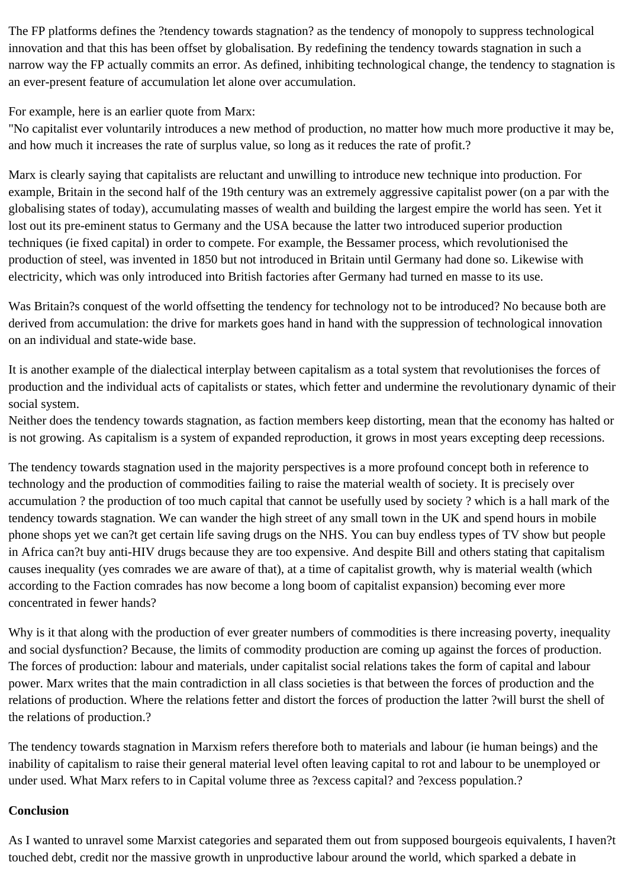The FP platforms defines the ?tendency towards stagnation? as the tendency of monopoly to suppress technological innovation and that this has been offset by globalisation. By redefining the tendency towards stagnation in such a narrow way the FP actually commits an error. As defined, inhibiting technological change, the tendency to stagnation is an ever-present feature of accumulation let alone over accumulation.

For example, here is an earlier quote from Marx:

"No capitalist ever voluntarily introduces a new method of production, no matter how much more productive it may be, and how much it increases the rate of surplus value, so long as it reduces the rate of profit.?

Marx is clearly saying that capitalists are reluctant and unwilling to introduce new technique into production. For example, Britain in the second half of the 19th century was an extremely aggressive capitalist power (on a par with the globalising states of today), accumulating masses of wealth and building the largest empire the world has seen. Yet it lost out its pre-eminent status to Germany and the USA because the latter two introduced superior production techniques (ie fixed capital) in order to compete. For example, the Bessamer process, which revolutionised the production of steel, was invented in 1850 but not introduced in Britain until Germany had done so. Likewise with electricity, which was only introduced into British factories after Germany had turned en masse to its use.

Was Britain?s conquest of the world offsetting the tendency for technology not to be introduced? No because both are derived from accumulation: the drive for markets goes hand in hand with the suppression of technological innovation on an individual and state-wide base.

It is another example of the dialectical interplay between capitalism as a total system that revolutionises the forces of production and the individual acts of capitalists or states, which fetter and undermine the revolutionary dynamic of their social system.

Neither does the tendency towards stagnation, as faction members keep distorting, mean that the economy has halted or is not growing. As capitalism is a system of expanded reproduction, it grows in most years excepting deep recessions.

The tendency towards stagnation used in the majority perspectives is a more profound concept both in reference to technology and the production of commodities failing to raise the material wealth of society. It is precisely over accumulation ? the production of too much capital that cannot be usefully used by society ? which is a hall mark of the tendency towards stagnation. We can wander the high street of any small town in the UK and spend hours in mobile phone shops yet we can?t get certain life saving drugs on the NHS. You can buy endless types of TV show but people in Africa can?t buy anti-HIV drugs because they are too expensive. And despite Bill and others stating that capitalism causes inequality (yes comrades we are aware of that), at a time of capitalist growth, why is material wealth (which according to the Faction comrades has now become a long boom of capitalist expansion) becoming ever more concentrated in fewer hands?

Why is it that along with the production of ever greater numbers of commodities is there increasing poverty, inequality and social dysfunction? Because, the limits of commodity production are coming up against the forces of production. The forces of production: labour and materials, under capitalist social relations takes the form of capital and labour power. Marx writes that the main contradiction in all class societies is that between the forces of production and the relations of production. Where the relations fetter and distort the forces of production the latter ?will burst the shell of the relations of production.?

The tendency towards stagnation in Marxism refers therefore both to materials and labour (ie human beings) and the inability of capitalism to raise their general material level often leaving capital to rot and labour to be unemployed or under used. What Marx refers to in Capital volume three as ?excess capital? and ?excess population.?

# **Conclusion**

As I wanted to unravel some Marxist categories and separated them out from supposed bourgeois equivalents, I haven?t touched debt, credit nor the massive growth in unproductive labour around the world, which sparked a debate in